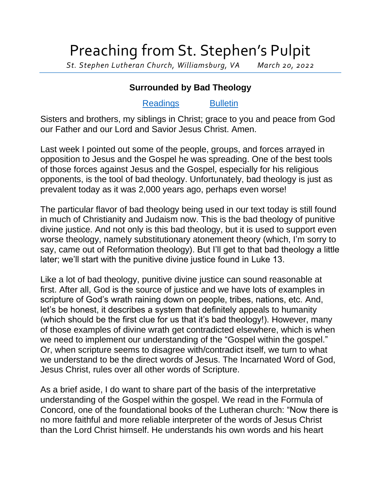## Preaching from St. Stephen's Pulpit

*St. Stephen Lutheran Church, Williamsburg, VA March 20, 2022*

## **Surrounded by Bad Theology**

## [Readings](https://lectionary.library.vanderbilt.edu/texts.php?id=120) [Bulletin](http://www.saintstephenlutheran.net/sunday-bulletins/)

Sisters and brothers, my siblings in Christ; grace to you and peace from God our Father and our Lord and Savior Jesus Christ. Amen.

Last week I pointed out some of the people, groups, and forces arrayed in opposition to Jesus and the Gospel he was spreading. One of the best tools of those forces against Jesus and the Gospel, especially for his religious opponents, is the tool of bad theology. Unfortunately, bad theology is just as prevalent today as it was 2,000 years ago, perhaps even worse!

The particular flavor of bad theology being used in our text today is still found in much of Christianity and Judaism now. This is the bad theology of punitive divine justice. And not only is this bad theology, but it is used to support even worse theology, namely substitutionary atonement theory (which, I'm sorry to say, came out of Reformation theology). But I'll get to that bad theology a little later; we'll start with the punitive divine justice found in Luke 13.

Like a lot of bad theology, punitive divine justice can sound reasonable at first. After all, God is the source of justice and we have lots of examples in scripture of God's wrath raining down on people, tribes, nations, etc. And, let's be honest, it describes a system that definitely appeals to humanity (which should be the first clue for us that it's bad theology!). However, many of those examples of divine wrath get contradicted elsewhere, which is when we need to implement our understanding of the "Gospel within the gospel." Or, when scripture seems to disagree with/contradict itself, we turn to what we understand to be the direct words of Jesus. The Incarnated Word of God, Jesus Christ, rules over all other words of Scripture.

As a brief aside, I do want to share part of the basis of the interpretative understanding of the Gospel within the gospel. We read in the Formula of Concord, one of the foundational books of the Lutheran church: "Now there is no more faithful and more reliable interpreter of the words of Jesus Christ than the Lord Christ himself. He understands his own words and his heart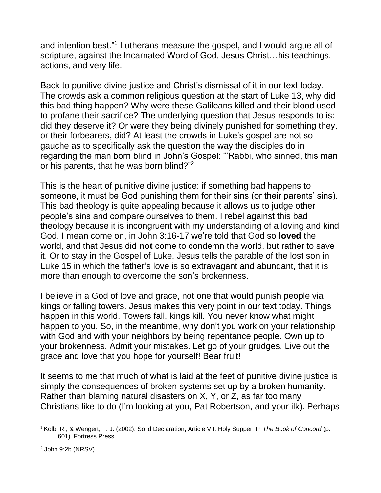and intention best."<sup>1</sup> Lutherans measure the gospel, and I would argue all of scripture, against the Incarnated Word of God, Jesus Christ…his teachings, actions, and very life.

Back to punitive divine justice and Christ's dismissal of it in our text today. The crowds ask a common religious question at the start of Luke 13, why did this bad thing happen? Why were these Galileans killed and their blood used to profane their sacrifice? The underlying question that Jesus responds to is: did they deserve it? Or were they being divinely punished for something they, or their forbearers, did? At least the crowds in Luke's gospel are not so gauche as to specifically ask the question the way the disciples do in regarding the man born blind in John's Gospel: "'Rabbi, who sinned, this man or his parents, that he was born blind?"<sup>2</sup>

This is the heart of punitive divine justice: if something bad happens to someone, it must be God punishing them for their sins (or their parents' sins). This bad theology is quite appealing because it allows us to judge other people's sins and compare ourselves to them. I rebel against this bad theology because it is incongruent with my understanding of a loving and kind God. I mean come on, in John 3:16-17 we're told that God so **loved** the world, and that Jesus did **not** come to condemn the world, but rather to save it. Or to stay in the Gospel of Luke, Jesus tells the parable of the lost son in Luke 15 in which the father's love is so extravagant and abundant, that it is more than enough to overcome the son's brokenness.

I believe in a God of love and grace, not one that would punish people via kings or falling towers. Jesus makes this very point in our text today. Things happen in this world. Towers fall, kings kill. You never know what might happen to you. So, in the meantime, why don't you work on your relationship with God and with your neighbors by being repentance people. Own up to your brokenness. Admit your mistakes. Let go of your grudges. Live out the grace and love that you hope for yourself! Bear fruit!

It seems to me that much of what is laid at the feet of punitive divine justice is simply the consequences of broken systems set up by a broken humanity. Rather than blaming natural disasters on X, Y, or Z, as far too many Christians like to do (I'm looking at you, Pat Robertson, and your ilk). Perhaps

<sup>2</sup> John 9:2b (NRSV)

<sup>&</sup>lt;sup>1</sup> Kolb, R., & Wengert, T. J. (2002). Solid Declaration, Article VII: Holy Supper. In *The Book of Concord* (p. 601). Fortress Press.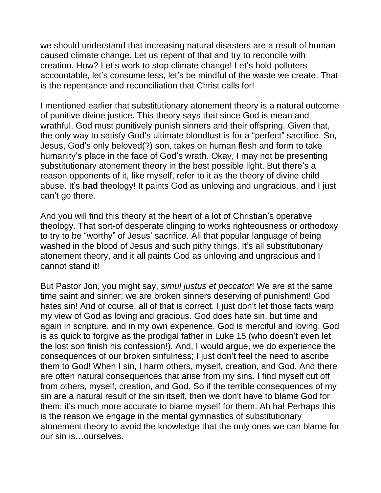we should understand that increasing natural disasters are a result of human caused climate change. Let us repent of that and try to reconcile with creation. How? Let's work to stop climate change! Let's hold polluters accountable, let's consume less, let's be mindful of the waste we create. That is the repentance and reconciliation that Christ calls for!

I mentioned earlier that substitutionary atonement theory is a natural outcome of punitive divine justice. This theory says that since God is mean and wrathful, God must punitively punish sinners and their offspring. Given that, the only way to satisfy God's ultimate bloodlust is for a "perfect" sacrifice. So, Jesus, God's only beloved(?) son, takes on human flesh and form to take humanity's place in the face of God's wrath. Okay, I may not be presenting substitutionary atonement theory in the best possible light. But there's a reason opponents of it, like myself, refer to it as the theory of divine child abuse. It's **bad** theology! It paints God as unloving and ungracious, and I just can't go there.

And you will find this theory at the heart of a lot of Christian's operative theology. That sort-of desperate clinging to works righteousness or orthodoxy to try to be "worthy" of Jesus' sacrifice. All that popular language of being washed in the blood of Jesus and such pithy things. It's all substitutionary atonement theory, and it all paints God as unloving and ungracious and I cannot stand it!

But Pastor Jon, you might say, *simul justus et peccator*! We are at the same time saint and sinner; we are broken sinners deserving of punishment! God hates sin! And of course, all of that is correct. I just don't let those facts warp my view of God as loving and gracious. God does hate sin, but time and again in scripture, and in my own experience, God is merciful and loving. God is as quick to forgive as the prodigal father in Luke 15 (who doesn't even let the lost son finish his confession!). And, I would argue, we do experience the consequences of our broken sinfulness; I just don't feel the need to ascribe them to God! When I sin, I harm others, myself, creation, and God. And there are often natural consequences that arise from my sins. I find myself cut off from others, myself, creation, and God. So if the terrible consequences of my sin are a natural result of the sin itself, then we don't have to blame God for them; it's much more accurate to blame myself for them. Ah ha! Perhaps this is the reason we engage in the mental gymnastics of substitutionary atonement theory to avoid the knowledge that the only ones we can blame for our sin is…ourselves.